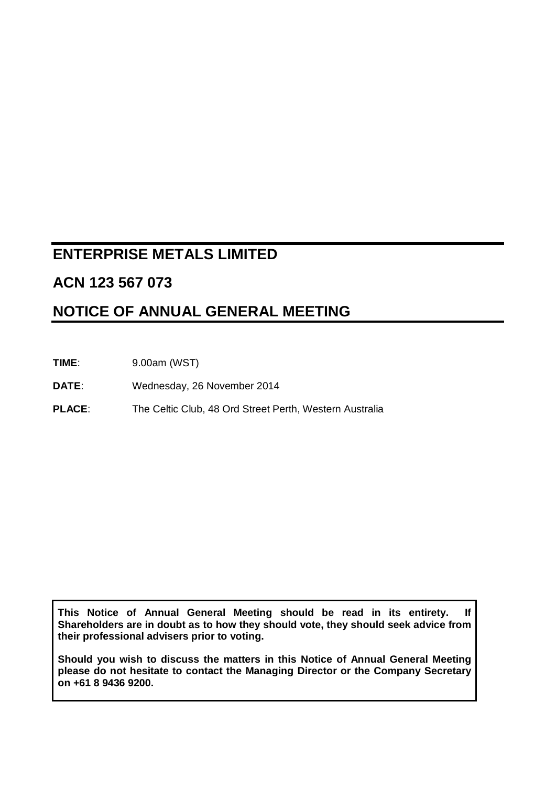# **ENTERPRISE METALS LIMITED**

# **ACN 123 567 073**

# **NOTICE OF ANNUAL GENERAL MEETING**

**TIME**: 9.00am (WST)

**DATE**: Wednesday, 26 November 2014

**PLACE**: The Celtic Club, 48 Ord Street Perth, Western Australia

**This Notice of Annual General Meeting should be read in its entirety. If Shareholders are in doubt as to how they should vote, they should seek advice from their professional advisers prior to voting.**

**Should you wish to discuss the matters in this Notice of Annual General Meeting please do not hesitate to contact the Managing Director or the Company Secretary on +61 8 9436 9200.**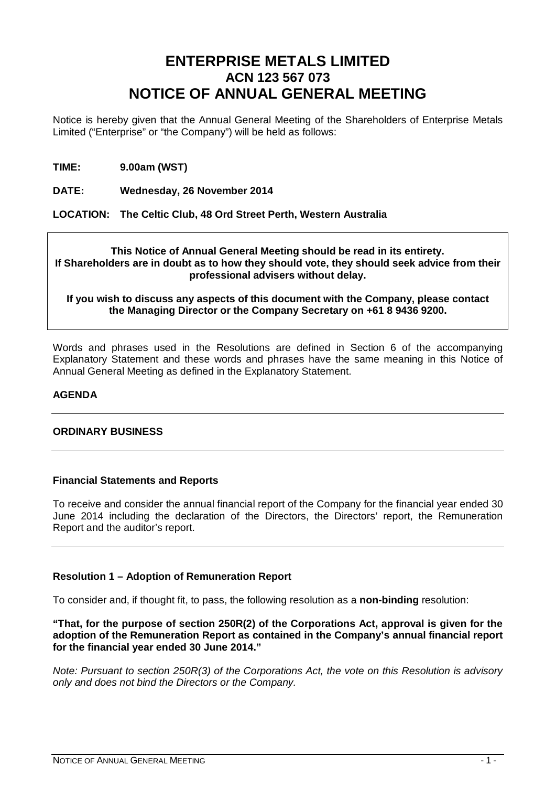# **ENTERPRISE METALS LIMITED ACN 123 567 073 NOTICE OF ANNUAL GENERAL MEETING**

Notice is hereby given that the Annual General Meeting of the Shareholders of Enterprise Metals Limited ("Enterprise" or "the Company") will be held as follows:

**TIME: 9.00am (WST)**

**DATE: Wednesday, 26 November 2014**

**LOCATION: The Celtic Club, 48 Ord Street Perth, Western Australia**

### **This Notice of Annual General Meeting should be read in its entirety. If Shareholders are in doubt as to how they should vote, they should seek advice from their professional advisers without delay.**

## **If you wish to discuss any aspects of this document with the Company, please contact the Managing Director or the Company Secretary on +61 8 9436 9200.**

Words and phrases used in the Resolutions are defined in Section 6 of the accompanying Explanatory Statement and these words and phrases have the same meaning in this Notice of Annual General Meeting as defined in the Explanatory Statement.

## **AGENDA**

## **ORDINARY BUSINESS**

## **Financial Statements and Reports**

To receive and consider the annual financial report of the Company for the financial year ended 30 June 2014 including the declaration of the Directors, the Directors' report, the Remuneration Report and the auditor's report.

## **Resolution 1 – Adoption of Remuneration Report**

To consider and, if thought fit, to pass, the following resolution as a **non-binding** resolution:

**"That, for the purpose of section 250R(2) of the Corporations Act, approval is given for the adoption of the Remuneration Report as contained in the Company's annual financial report for the financial year ended 30 June 2014."**

*Note: Pursuant to section 250R(3) of the Corporations Act, the vote on this Resolution is advisory only and does not bind the Directors or the Company.*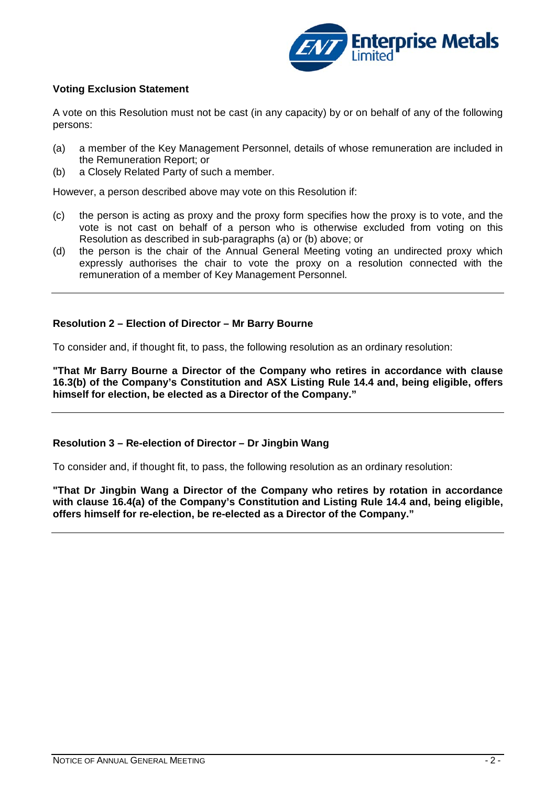

## **Voting Exclusion Statement**

A vote on this Resolution must not be cast (in any capacity) by or on behalf of any of the following persons:

- (a) a member of the Key Management Personnel, details of whose remuneration are included in the Remuneration Report; or
- (b) a Closely Related Party of such a member.

However, a person described above may vote on this Resolution if:

- (c) the person is acting as proxy and the proxy form specifies how the proxy is to vote, and the vote is not cast on behalf of a person who is otherwise excluded from voting on this Resolution as described in sub-paragraphs (a) or (b) above; or
- (d) the person is the chair of the Annual General Meeting voting an undirected proxy which expressly authorises the chair to vote the proxy on a resolution connected with the remuneration of a member of Key Management Personnel.

### **Resolution 2 – Election of Director – Mr Barry Bourne**

To consider and, if thought fit, to pass, the following resolution as an ordinary resolution:

**"That Mr Barry Bourne a Director of the Company who retires in accordance with clause 16.3(b) of the Company's Constitution and ASX Listing Rule 14.4 and, being eligible, offers himself for election, be elected as a Director of the Company."**

## **Resolution 3 – Re-election of Director – Dr Jingbin Wang**

To consider and, if thought fit, to pass, the following resolution as an ordinary resolution:

**"That Dr Jingbin Wang a Director of the Company who retires by rotation in accordance with clause 16.4(a) of the Company's Constitution and Listing Rule 14.4 and, being eligible, offers himself for re-election, be re-elected as a Director of the Company."**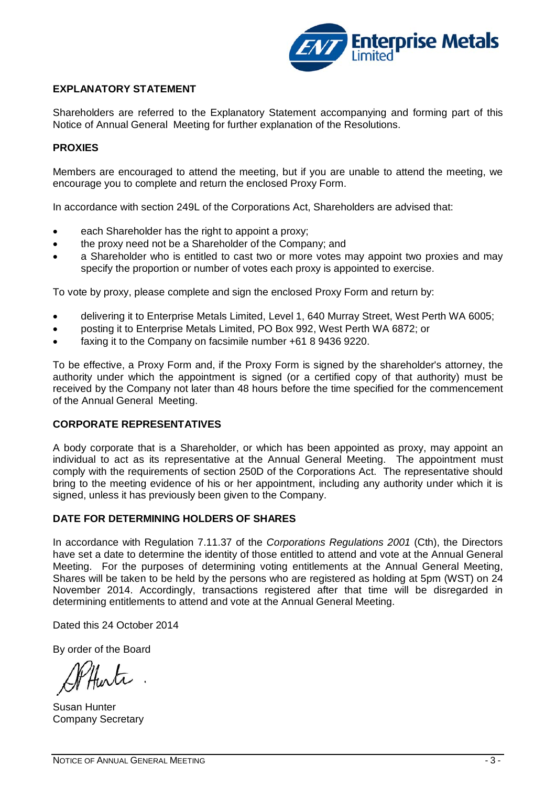

## **EXPLANATORY STATEMENT**

Shareholders are referred to the Explanatory Statement accompanying and forming part of this Notice of Annual General Meeting for further explanation of the Resolutions.

## **PROXIES**

Members are encouraged to attend the meeting, but if you are unable to attend the meeting, we encourage you to complete and return the enclosed Proxy Form.

In accordance with section 249L of the Corporations Act, Shareholders are advised that:

- each Shareholder has the right to appoint a proxy;
- the proxy need not be a Shareholder of the Company; and
- a Shareholder who is entitled to cast two or more votes may appoint two proxies and may specify the proportion or number of votes each proxy is appointed to exercise.

To vote by proxy, please complete and sign the enclosed Proxy Form and return by:

- delivering it to Enterprise Metals Limited, Level 1, 640 Murray Street, West Perth WA 6005;
- posting it to Enterprise Metals Limited, PO Box 992, West Perth WA 6872; or
- faxing it to the Company on facsimile number +61 8 9436 9220.

To be effective, a Proxy Form and, if the Proxy Form is signed by the shareholder's attorney, the authority under which the appointment is signed (or a certified copy of that authority) must be received by the Company not later than 48 hours before the time specified for the commencement of the Annual General Meeting.

### **CORPORATE REPRESENTATIVES**

A body corporate that is a Shareholder, or which has been appointed as proxy, may appoint an individual to act as its representative at the Annual General Meeting. The appointment must comply with the requirements of section 250D of the Corporations Act. The representative should bring to the meeting evidence of his or her appointment, including any authority under which it is signed, unless it has previously been given to the Company.

## **DATE FOR DETERMINING HOLDERS OF SHARES**

In accordance with Regulation 7.11.37 of the *Corporations Regulations 2001* (Cth), the Directors have set a date to determine the identity of those entitled to attend and vote at the Annual General Meeting. For the purposes of determining voting entitlements at the Annual General Meeting, Shares will be taken to be held by the persons who are registered as holding at 5pm (WST) on 24 November 2014. Accordingly, transactions registered after that time will be disregarded in determining entitlements to attend and vote at the Annual General Meeting.

Dated this 24 October 2014

By order of the Board

Susan Hunter Company Secretary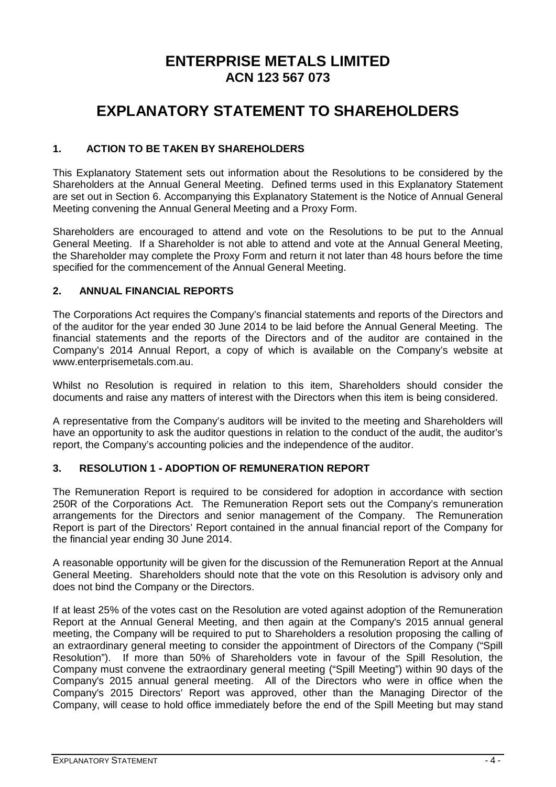# **ENTERPRISE METALS LIMITED ACN 123 567 073**

# **EXPLANATORY STATEMENT TO SHAREHOLDERS**

## **1. ACTION TO BE TAKEN BY SHAREHOLDERS**

This Explanatory Statement sets out information about the Resolutions to be considered by the Shareholders at the Annual General Meeting. Defined terms used in this Explanatory Statement are set out in Section 6. Accompanying this Explanatory Statement is the Notice of Annual General Meeting convening the Annual General Meeting and a Proxy Form.

Shareholders are encouraged to attend and vote on the Resolutions to be put to the Annual General Meeting. If a Shareholder is not able to attend and vote at the Annual General Meeting, the Shareholder may complete the Proxy Form and return it not later than 48 hours before the time specified for the commencement of the Annual General Meeting.

## **2. ANNUAL FINANCIAL REPORTS**

The Corporations Act requires the Company's financial statements and reports of the Directors and of the auditor for the year ended 30 June 2014 to be laid before the Annual General Meeting. The financial statements and the reports of the Directors and of the auditor are contained in the Company's 2014 Annual Report, a copy of which is available on the Company's website at www.enterprisemetals.com.au.

Whilst no Resolution is required in relation to this item, Shareholders should consider the documents and raise any matters of interest with the Directors when this item is being considered.

A representative from the Company's auditors will be invited to the meeting and Shareholders will have an opportunity to ask the auditor questions in relation to the conduct of the audit, the auditor's report, the Company's accounting policies and the independence of the auditor.

## **3. RESOLUTION 1 - ADOPTION OF REMUNERATION REPORT**

The Remuneration Report is required to be considered for adoption in accordance with section 250R of the Corporations Act. The Remuneration Report sets out the Company's remuneration arrangements for the Directors and senior management of the Company. The Remuneration Report is part of the Directors' Report contained in the annual financial report of the Company for the financial year ending 30 June 2014.

A reasonable opportunity will be given for the discussion of the Remuneration Report at the Annual General Meeting. Shareholders should note that the vote on this Resolution is advisory only and does not bind the Company or the Directors.

If at least 25% of the votes cast on the Resolution are voted against adoption of the Remuneration Report at the Annual General Meeting, and then again at the Company's 2015 annual general meeting, the Company will be required to put to Shareholders a resolution proposing the calling of an extraordinary general meeting to consider the appointment of Directors of the Company ("Spill Resolution"). If more than 50% of Shareholders vote in favour of the Spill Resolution, the Company must convene the extraordinary general meeting ("Spill Meeting") within 90 days of the Company's 2015 annual general meeting. All of the Directors who were in office when the Company's 2015 Directors' Report was approved, other than the Managing Director of the Company, will cease to hold office immediately before the end of the Spill Meeting but may stand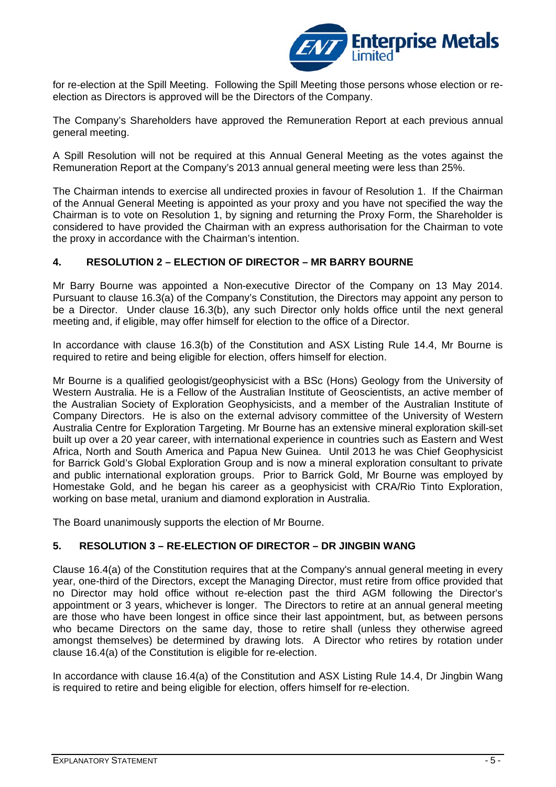

for re-election at the Spill Meeting. Following the Spill Meeting those persons whose election or reelection as Directors is approved will be the Directors of the Company.

The Company's Shareholders have approved the Remuneration Report at each previous annual general meeting.

A Spill Resolution will not be required at this Annual General Meeting as the votes against the Remuneration Report at the Company's 2013 annual general meeting were less than 25%.

The Chairman intends to exercise all undirected proxies in favour of Resolution 1. If the Chairman of the Annual General Meeting is appointed as your proxy and you have not specified the way the Chairman is to vote on Resolution 1, by signing and returning the Proxy Form, the Shareholder is considered to have provided the Chairman with an express authorisation for the Chairman to vote the proxy in accordance with the Chairman's intention.

## **4. RESOLUTION 2 – ELECTION OF DIRECTOR – MR BARRY BOURNE**

Mr Barry Bourne was appointed a Non-executive Director of the Company on 13 May 2014. Pursuant to clause 16.3(a) of the Company's Constitution, the Directors may appoint any person to be a Director. Under clause 16.3(b), any such Director only holds office until the next general meeting and, if eligible, may offer himself for election to the office of a Director.

In accordance with clause 16.3(b) of the Constitution and ASX Listing Rule 14.4, Mr Bourne is required to retire and being eligible for election, offers himself for election.

Mr Bourne is a qualified geologist/geophysicist with a BSc (Hons) Geology from the University of Western Australia. He is a Fellow of the Australian Institute of Geoscientists, an active member of the Australian Society of Exploration Geophysicists, and a member of the Australian Institute of Company Directors. He is also on the external advisory committee of the University of Western Australia Centre for Exploration Targeting. Mr Bourne has an extensive mineral exploration skill-set built up over a 20 year career, with international experience in countries such as Eastern and West Africa, North and South America and Papua New Guinea. Until 2013 he was Chief Geophysicist for Barrick Gold's Global Exploration Group and is now a mineral exploration consultant to private and public international exploration groups. Prior to Barrick Gold, Mr Bourne was employed by Homestake Gold, and he began his career as a geophysicist with CRA/Rio Tinto Exploration, working on base metal, uranium and diamond exploration in Australia.

The Board unanimously supports the election of Mr Bourne.

## **5. RESOLUTION 3 – RE-ELECTION OF DIRECTOR – DR JINGBIN WANG**

Clause 16.4(a) of the Constitution requires that at the Company's annual general meeting in every year, one-third of the Directors, except the Managing Director, must retire from office provided that no Director may hold office without re-election past the third AGM following the Director's appointment or 3 years, whichever is longer. The Directors to retire at an annual general meeting are those who have been longest in office since their last appointment, but, as between persons who became Directors on the same day, those to retire shall (unless they otherwise agreed amongst themselves) be determined by drawing lots. A Director who retires by rotation under clause 16.4(a) of the Constitution is eligible for re-election.

In accordance with clause 16.4(a) of the Constitution and ASX Listing Rule 14.4, Dr Jingbin Wang is required to retire and being eligible for election, offers himself for re-election.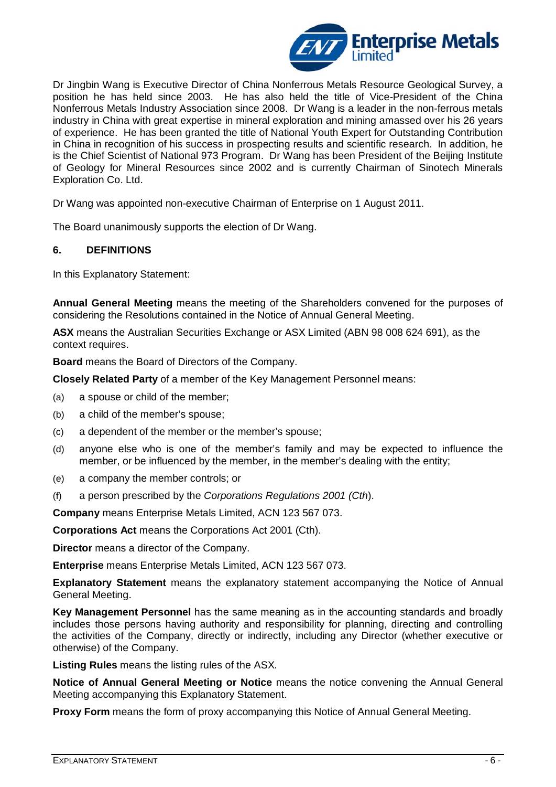

Dr Jingbin Wang is Executive Director of China Nonferrous Metals Resource Geological Survey, a position he has held since 2003. He has also held the title of Vice-President of the China Nonferrous Metals Industry Association since 2008. Dr Wang is a leader in the non-ferrous metals industry in China with great expertise in mineral exploration and mining amassed over his 26 years of experience. He has been granted the title of National Youth Expert for Outstanding Contribution in China in recognition of his success in prospecting results and scientific research. In addition, he is the Chief Scientist of National 973 Program. Dr Wang has been President of the Beijing Institute of Geology for Mineral Resources since 2002 and is currently Chairman of Sinotech Minerals Exploration Co. Ltd.

Dr Wang was appointed non-executive Chairman of Enterprise on 1 August 2011.

The Board unanimously supports the election of Dr Wang.

### **6. DEFINITIONS**

In this Explanatory Statement:

**Annual General Meeting** means the meeting of the Shareholders convened for the purposes of considering the Resolutions contained in the Notice of Annual General Meeting.

**ASX** means the Australian Securities Exchange or ASX Limited (ABN 98 008 624 691), as the context requires.

**Board** means the Board of Directors of the Company.

**Closely Related Party** of a member of the Key Management Personnel means:

- (a) a spouse or child of the member;
- (b) a child of the member's spouse;
- (c) a dependent of the member or the member's spouse;
- (d) anyone else who is one of the member's family and may be expected to influence the member, or be influenced by the member, in the member's dealing with the entity;
- (e) a company the member controls; or
- (f) a person prescribed by the *Corporations Regulations 2001 (Cth*).

**Company** means Enterprise Metals Limited, ACN 123 567 073.

**Corporations Act** means the Corporations Act 2001 (Cth).

**Director** means a director of the Company.

**Enterprise** means Enterprise Metals Limited, ACN 123 567 073.

**Explanatory Statement** means the explanatory statement accompanying the Notice of Annual General Meeting.

**Key Management Personnel** has the same meaning as in the accounting standards and broadly includes those persons having authority and responsibility for planning, directing and controlling the activities of the Company, directly or indirectly, including any Director (whether executive or otherwise) of the Company.

**Listing Rules** means the listing rules of the ASX.

**Notice of Annual General Meeting or Notice** means the notice convening the Annual General Meeting accompanying this Explanatory Statement.

**Proxy Form** means the form of proxy accompanying this Notice of Annual General Meeting.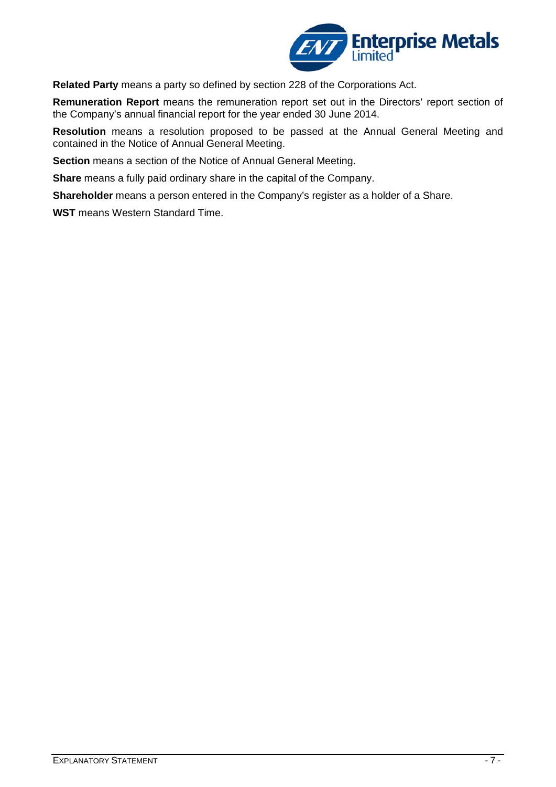

**Related Party** means a party so defined by section 228 of the Corporations Act.

**Remuneration Report** means the remuneration report set out in the Directors' report section of the Company's annual financial report for the year ended 30 June 2014.

**Resolution** means a resolution proposed to be passed at the Annual General Meeting and contained in the Notice of Annual General Meeting.

**Section** means a section of the Notice of Annual General Meeting.

**Share** means a fully paid ordinary share in the capital of the Company.

**Shareholder** means a person entered in the Company's register as a holder of a Share.

**WST** means Western Standard Time.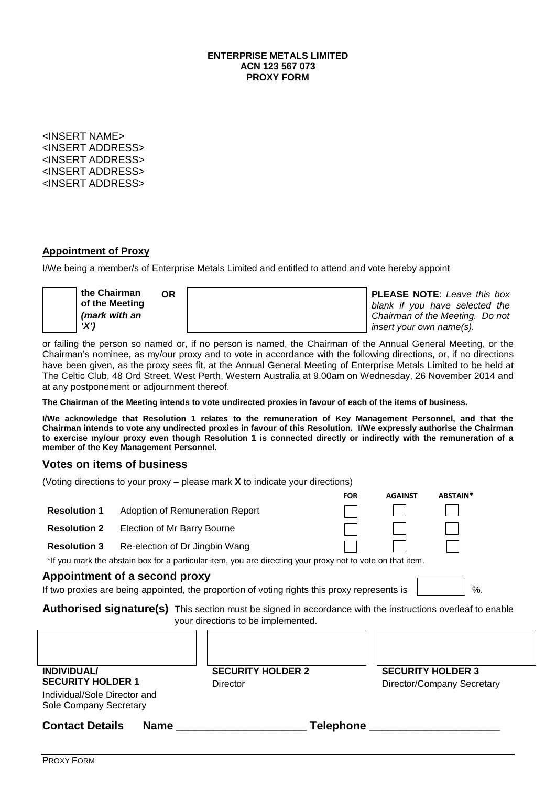#### **ENTERPRISE METALS LIMITED ACN 123 567 073 PROXY FORM**

<INSERT NAME> <INSERT ADDRESS> <INSERT ADDRESS> <INSERT ADDRESS> <INSERT ADDRESS>

### **Appointment of Proxy**

I/We being a member/s of Enterprise Metals Limited and entitled to attend and vote hereby appoint



or failing the person so named or, if no person is named, the Chairman of the Annual General Meeting, or the Chairman's nominee, as my/our proxy and to vote in accordance with the following directions, or, if no directions have been given, as the proxy sees fit, at the Annual General Meeting of Enterprise Metals Limited to be held at The Celtic Club, 48 Ord Street, West Perth, Western Australia at 9.00am on Wednesday, 26 November 2014 and at any postponement or adjournment thereof.

**The Chairman of the Meeting intends to vote undirected proxies in favour of each of the items of business.**

**I/We acknowledge that Resolution 1 relates to the remuneration of Key Management Personnel, and that the Chairman intends to vote any undirected proxies in favour of this Resolution. I/We expressly authorise the Chairman to exercise my/our proxy even though Resolution 1 is connected directly or indirectly with the remuneration of a member of the Key Management Personnel.**

## **Votes on items of business**

(Voting directions to your proxy – please mark **X** to indicate your directions)

|                                                                                                                                                         |                                 |                                      | <b>FOR</b> | <b>AGAINST</b>           | ABSTAIN*                   |
|---------------------------------------------------------------------------------------------------------------------------------------------------------|---------------------------------|--------------------------------------|------------|--------------------------|----------------------------|
| <b>Resolution 1</b>                                                                                                                                     | Adoption of Remuneration Report |                                      |            |                          |                            |
| <b>Resolution 2</b>                                                                                                                                     | Election of Mr Barry Bourne     |                                      |            |                          |                            |
| <b>Resolution 3</b>                                                                                                                                     | Re-election of Dr Jingbin Wang  |                                      |            |                          |                            |
| *If you mark the abstain box for a particular item, you are directing your proxy not to vote on that item.                                              |                                 |                                      |            |                          |                            |
| Appointment of a second proxy                                                                                                                           |                                 |                                      |            |                          |                            |
| If two proxies are being appointed, the proportion of voting rights this proxy represents is<br>%.                                                      |                                 |                                      |            |                          |                            |
| <b>Authorised signature(s)</b> This section must be signed in accordance with the instructions overleaf to enable<br>your directions to be implemented. |                                 |                                      |            |                          |                            |
| <b>INDIVIDUAL/</b><br><b>SECURITY HOLDER 1</b><br>Individual/Sole Director and<br>Sole Company Secretary                                                |                                 | <b>SECURITY HOLDER 2</b><br>Director |            | <b>SECURITY HOLDER 3</b> | Director/Company Secretary |
| <b>Contact Details</b><br><b>Name</b>                                                                                                                   |                                 | <b>Telephone</b>                     |            |                          |                            |